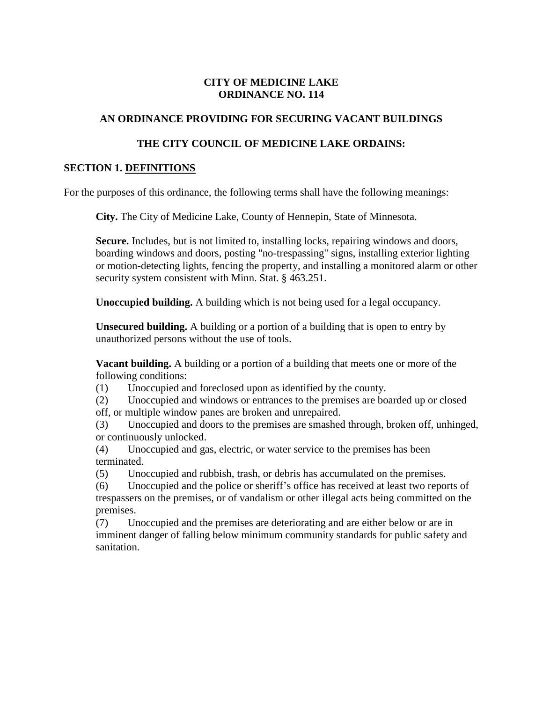### **CITY OF MEDICINE LAKE ORDINANCE NO. 114**

### **AN ORDINANCE PROVIDING FOR SECURING VACANT BUILDINGS**

#### **THE CITY COUNCIL OF MEDICINE LAKE ORDAINS:**

#### **SECTION 1. DEFINITIONS**

For the purposes of this ordinance, the following terms shall have the following meanings:

**City.** The City of Medicine Lake, County of Hennepin, State of Minnesota.

**Secure.** Includes, but is not limited to, installing locks, repairing windows and doors, boarding windows and doors, posting "no-trespassing" signs, installing exterior lighting or motion-detecting lights, fencing the property, and installing a monitored alarm or other security system consistent with Minn. Stat. § 463.251.

**Unoccupied building.** A building which is not being used for a legal occupancy.

**Unsecured building.** A building or a portion of a building that is open to entry by unauthorized persons without the use of tools.

**Vacant building.** A building or a portion of a building that meets one or more of the following conditions:

(1) Unoccupied and foreclosed upon as identified by the county.

(2) Unoccupied and windows or entrances to the premises are boarded up or closed off, or multiple window panes are broken and unrepaired.

(3) Unoccupied and doors to the premises are smashed through, broken off, unhinged, or continuously unlocked.

(4) Unoccupied and gas, electric, or water service to the premises has been terminated.

(5) Unoccupied and rubbish, trash, or debris has accumulated on the premises.

(6) Unoccupied and the police or sheriff's office has received at least two reports of trespassers on the premises, or of vandalism or other illegal acts being committed on the premises.

(7) Unoccupied and the premises are deteriorating and are either below or are in imminent danger of falling below minimum community standards for public safety and sanitation.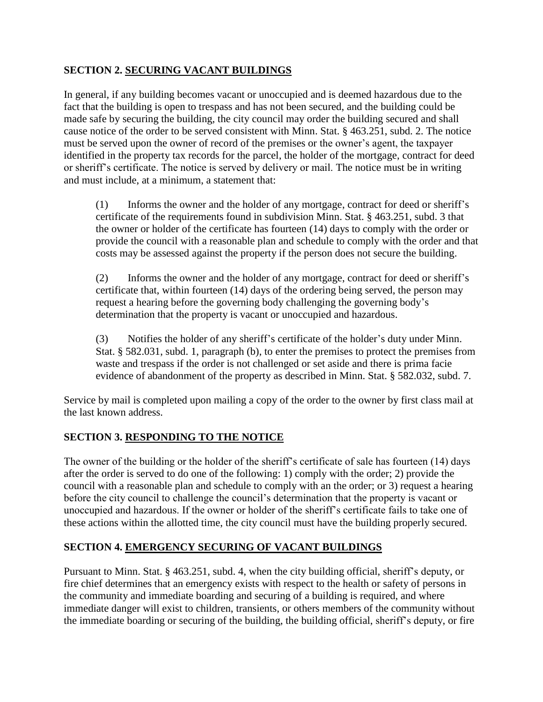### **SECTION 2. SECURING VACANT BUILDINGS**

In general, if any building becomes vacant or unoccupied and is deemed hazardous due to the fact that the building is open to trespass and has not been secured, and the building could be made safe by securing the building, the city council may order the building secured and shall cause notice of the order to be served consistent with Minn. Stat. § 463.251, subd. 2. The notice must be served upon the owner of record of the premises or the owner's agent, the taxpayer identified in the property tax records for the parcel, the holder of the mortgage, contract for deed or sheriff's certificate. The notice is served by delivery or mail. The notice must be in writing and must include, at a minimum, a statement that:

(1) Informs the owner and the holder of any mortgage, contract for deed or sheriff's certificate of the requirements found in subdivision Minn. Stat. § 463.251, subd. 3 that the owner or holder of the certificate has fourteen (14) days to comply with the order or provide the council with a reasonable plan and schedule to comply with the order and that costs may be assessed against the property if the person does not secure the building.

(2) Informs the owner and the holder of any mortgage, contract for deed or sheriff's certificate that, within fourteen (14) days of the ordering being served, the person may request a hearing before the governing body challenging the governing body's determination that the property is vacant or unoccupied and hazardous.

(3) Notifies the holder of any sheriff's certificate of the holder's duty under Minn. Stat. § 582.031, subd. 1, paragraph (b), to enter the premises to protect the premises from waste and trespass if the order is not challenged or set aside and there is prima facie evidence of abandonment of the property as described in Minn. Stat. § 582.032, subd. 7.

Service by mail is completed upon mailing a copy of the order to the owner by first class mail at the last known address.

### **SECTION 3. RESPONDING TO THE NOTICE**

The owner of the building or the holder of the sheriff's certificate of sale has fourteen (14) days after the order is served to do one of the following: 1) comply with the order; 2) provide the council with a reasonable plan and schedule to comply with an the order; or 3) request a hearing before the city council to challenge the council's determination that the property is vacant or unoccupied and hazardous. If the owner or holder of the sheriff's certificate fails to take one of these actions within the allotted time, the city council must have the building properly secured.

### **SECTION 4. EMERGENCY SECURING OF VACANT BUILDINGS**

Pursuant to Minn. Stat. § 463.251, subd. 4, when the city building official, sheriff's deputy, or fire chief determines that an emergency exists with respect to the health or safety of persons in the community and immediate boarding and securing of a building is required, and where immediate danger will exist to children, transients, or others members of the community without the immediate boarding or securing of the building, the building official, sheriff's deputy, or fire